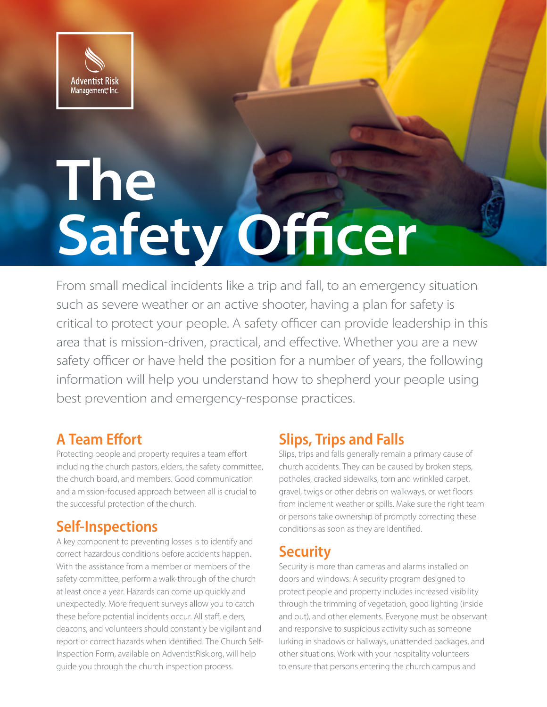

# **The Safety Officer**

From small medical incidents like a trip and fall, to an emergency situation such as severe weather or an active shooter, having a plan for safety is critical to protect your people. A safety officer can provide leadership in this area that is mission-driven, practical, and effective. Whether you are a new safety officer or have held the position for a number of years, the following information will help you understand how to shepherd your people using best prevention and emergency-response practices.

## **A Team Effort**

Protecting people and property requires a team effort including the church pastors, elders, the safety committee, the church board, and members. Good communication and a mission-focused approach between all is crucial to the successful protection of the church.

# **Self-Inspections**

A key component to preventing losses is to identify and correct hazardous conditions before accidents happen. With the assistance from a member or members of the safety committee, perform a walk-through of the church at least once a year. Hazards can come up quickly and unexpectedly. More frequent surveys allow you to catch these before potential incidents occur. All staff, elders, deacons, and volunteers should constantly be vigilant and report or correct hazards when identified. The Church Self-Inspection Form, available on AdventistRisk.org, will help guide you through the church inspection process.

## **Slips, Trips and Falls**

Slips, trips and falls generally remain a primary cause of church accidents. They can be caused by broken steps, potholes, cracked sidewalks, torn and wrinkled carpet, gravel, twigs or other debris on walkways, or wet floors from inclement weather or spills. Make sure the right team or persons take ownership of promptly correcting these conditions as soon as they are identified.

## **Security**

Security is more than cameras and alarms installed on doors and windows. A security program designed to protect people and property includes increased visibility through the trimming of vegetation, good lighting (inside and out), and other elements. Everyone must be observant and responsive to suspicious activity such as someone lurking in shadows or hallways, unattended packages, and other situations. Work with your hospitality volunteers to ensure that persons entering the church campus and